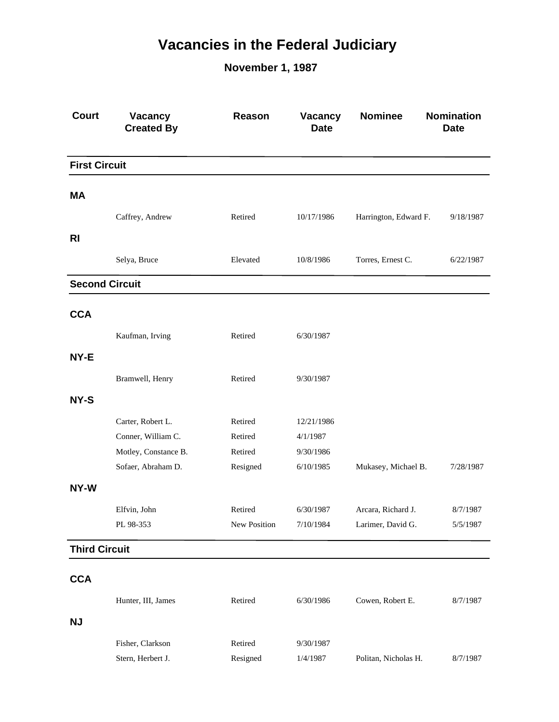## **Vacancies in the Federal Judiciary**

**November 1, 1987**

| <b>Court</b>          | Vacancy<br><b>Created By</b> | Reason       | Vacancy<br><b>Date</b> | <b>Nominee</b>        | <b>Nomination</b><br><b>Date</b> |
|-----------------------|------------------------------|--------------|------------------------|-----------------------|----------------------------------|
| <b>First Circuit</b>  |                              |              |                        |                       |                                  |
| МA                    |                              |              |                        |                       |                                  |
|                       | Caffrey, Andrew              | Retired      | 10/17/1986             | Harrington, Edward F. | 9/18/1987                        |
|                       |                              |              |                        |                       |                                  |
| <b>RI</b>             |                              |              |                        |                       |                                  |
|                       | Selya, Bruce                 | Elevated     | 10/8/1986              | Torres, Ernest C.     | 6/22/1987                        |
| <b>Second Circuit</b> |                              |              |                        |                       |                                  |
| <b>CCA</b>            |                              |              |                        |                       |                                  |
|                       | Kaufman, Irving              | Retired      | 6/30/1987              |                       |                                  |
| NY-E                  |                              |              |                        |                       |                                  |
|                       | Bramwell, Henry              | Retired      | 9/30/1987              |                       |                                  |
|                       |                              |              |                        |                       |                                  |
| NY-S                  |                              |              |                        |                       |                                  |
|                       | Carter, Robert L.            | Retired      | 12/21/1986             |                       |                                  |
|                       | Conner, William C.           | Retired      | 4/1/1987               |                       |                                  |
|                       | Motley, Constance B.         | Retired      | 9/30/1986              |                       |                                  |
|                       | Sofaer, Abraham D.           | Resigned     | 6/10/1985              | Mukasey, Michael B.   | 7/28/1987                        |
| NY-W                  |                              |              |                        |                       |                                  |
|                       | Elfvin, John                 | Retired      | 6/30/1987              | Arcara, Richard J.    | 8/7/1987                         |
|                       | PL 98-353                    | New Position | 7/10/1984              | Larimer, David G.     | 5/5/1987                         |
| <b>Third Circuit</b>  |                              |              |                        |                       |                                  |
|                       |                              |              |                        |                       |                                  |
| <b>CCA</b>            |                              |              |                        |                       |                                  |
|                       | Hunter, III, James           | Retired      | 6/30/1986              | Cowen, Robert E.      | 8/7/1987                         |
| <b>NJ</b>             |                              |              |                        |                       |                                  |
|                       | Fisher, Clarkson             | Retired      | 9/30/1987              |                       |                                  |
|                       | Stern, Herbert J.            | Resigned     | 1/4/1987               | Politan, Nicholas H.  | 8/7/1987                         |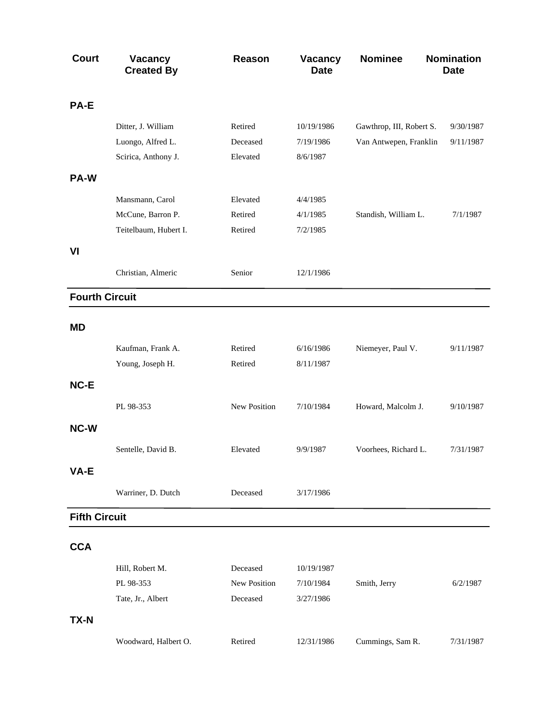| <b>Court</b>          | Vacancy<br><b>Created By</b> | Reason       | Vacancy<br><b>Date</b> | <b>Nominee</b>           | <b>Nomination</b><br><b>Date</b> |
|-----------------------|------------------------------|--------------|------------------------|--------------------------|----------------------------------|
| PA-E                  |                              |              |                        |                          |                                  |
|                       | Ditter, J. William           | Retired      | 10/19/1986             | Gawthrop, III, Robert S. | 9/30/1987                        |
|                       | Luongo, Alfred L.            | Deceased     | 7/19/1986              | Van Antwepen, Franklin   | 9/11/1987                        |
|                       | Scirica, Anthony J.          | Elevated     | 8/6/1987               |                          |                                  |
| PA-W                  |                              |              |                        |                          |                                  |
|                       | Mansmann, Carol              | Elevated     | 4/4/1985               |                          |                                  |
|                       | McCune, Barron P.            | Retired      | 4/1/1985               | Standish, William L.     | 7/1/1987                         |
|                       | Teitelbaum, Hubert I.        | Retired      | 7/2/1985               |                          |                                  |
| VI                    |                              |              |                        |                          |                                  |
|                       | Christian, Almeric           | Senior       | 12/1/1986              |                          |                                  |
| <b>Fourth Circuit</b> |                              |              |                        |                          |                                  |
| <b>MD</b>             |                              |              |                        |                          |                                  |
|                       | Kaufman, Frank A.            | Retired      | 6/16/1986              | Niemeyer, Paul V.        | 9/11/1987                        |
|                       | Young, Joseph H.             | Retired      | 8/11/1987              |                          |                                  |
| NC-E                  |                              |              |                        |                          |                                  |
|                       |                              |              |                        |                          |                                  |
|                       | PL 98-353                    | New Position | 7/10/1984              | Howard, Malcolm J.       | 9/10/1987                        |
| <b>NC-W</b>           |                              |              |                        |                          |                                  |
|                       | Sentelle, David B.           | Elevated     | 9/9/1987               | Voorhees, Richard L.     | 7/31/1987                        |
| VA-E                  |                              |              |                        |                          |                                  |
|                       | Warriner, D. Dutch           | Deceased     | 3/17/1986              |                          |                                  |
| <b>Fifth Circuit</b>  |                              |              |                        |                          |                                  |
|                       |                              |              |                        |                          |                                  |
| <b>CCA</b>            |                              |              |                        |                          |                                  |
|                       | Hill, Robert M.              | Deceased     | 10/19/1987             |                          |                                  |
|                       | PL 98-353                    | New Position | 7/10/1984              | Smith, Jerry             | 6/2/1987                         |
|                       | Tate, Jr., Albert            | Deceased     | 3/27/1986              |                          |                                  |
| <b>TX-N</b>           |                              |              |                        |                          |                                  |
|                       | Woodward, Halbert O.         | Retired      | 12/31/1986             | Cummings, Sam R.         | 7/31/1987                        |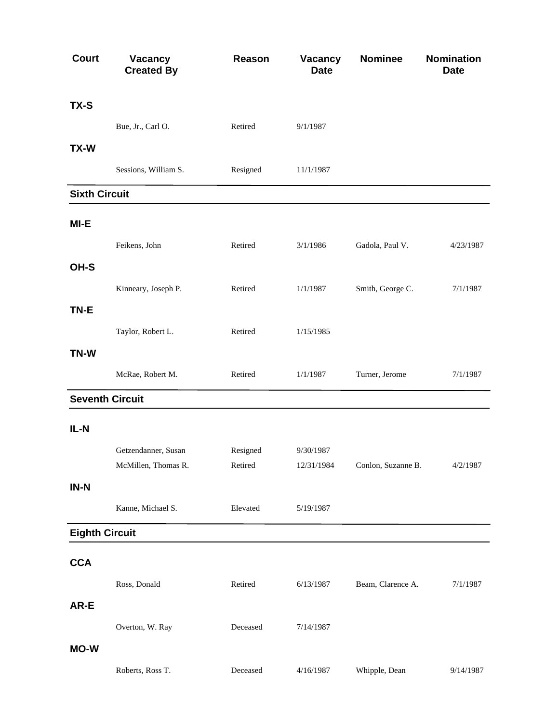| <b>Court</b>          | <b>Vacancy</b><br><b>Created By</b> | Reason   | Vacancy<br><b>Date</b> | <b>Nominee</b>     | <b>Nomination</b><br><b>Date</b> |
|-----------------------|-------------------------------------|----------|------------------------|--------------------|----------------------------------|
| TX-S                  |                                     |          |                        |                    |                                  |
|                       | Bue, Jr., Carl O.                   | Retired  | 9/1/1987               |                    |                                  |
| TX-W                  |                                     |          |                        |                    |                                  |
|                       | Sessions, William S.                | Resigned | 11/1/1987              |                    |                                  |
| <b>Sixth Circuit</b>  |                                     |          |                        |                    |                                  |
| MI-E                  |                                     |          |                        |                    |                                  |
|                       | Feikens, John                       | Retired  | 3/1/1986               | Gadola, Paul V.    | 4/23/1987                        |
| OH-S                  |                                     |          |                        |                    |                                  |
|                       | Kinneary, Joseph P.                 | Retired  | 1/1/1987               | Smith, George C.   | 7/1/1987                         |
| TN-E                  |                                     |          |                        |                    |                                  |
|                       | Taylor, Robert L.                   | Retired  | 1/15/1985              |                    |                                  |
| TN-W                  |                                     |          |                        |                    |                                  |
|                       | McRae, Robert M.                    | Retired  | 1/1/1987               | Turner, Jerome     | 7/1/1987                         |
|                       | <b>Seventh Circuit</b>              |          |                        |                    |                                  |
| IL-N                  |                                     |          |                        |                    |                                  |
|                       | Getzendanner, Susan                 | Resigned | 9/30/1987              |                    |                                  |
|                       | McMillen, Thomas R.                 | Retired  | 12/31/1984             | Conlon, Suzanne B. | 4/2/1987                         |
| $IN-N$                |                                     |          |                        |                    |                                  |
|                       | Kanne, Michael S.                   | Elevated | 5/19/1987              |                    |                                  |
| <b>Eighth Circuit</b> |                                     |          |                        |                    |                                  |
| <b>CCA</b>            |                                     |          |                        |                    |                                  |
|                       | Ross, Donald                        | Retired  | 6/13/1987              | Beam, Clarence A.  | 7/1/1987                         |
| AR-E                  |                                     |          |                        |                    |                                  |
|                       | Overton, W. Ray                     | Deceased | 7/14/1987              |                    |                                  |
| <b>MO-W</b>           |                                     |          |                        |                    |                                  |
|                       | Roberts, Ross T.                    | Deceased | 4/16/1987              | Whipple, Dean      | 9/14/1987                        |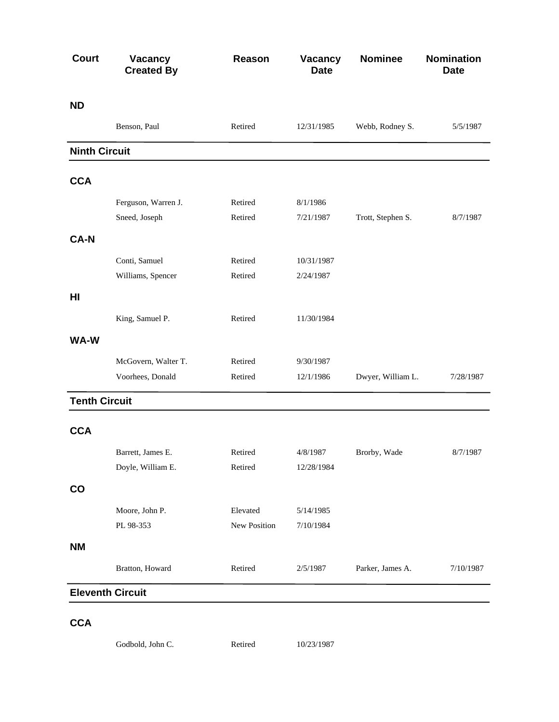| <b>Court</b>         | Vacancy<br><b>Created By</b> | Reason       | Vacancy<br><b>Date</b> | <b>Nominee</b>    | <b>Nomination</b><br><b>Date</b> |
|----------------------|------------------------------|--------------|------------------------|-------------------|----------------------------------|
| <b>ND</b>            |                              |              |                        |                   |                                  |
|                      | Benson, Paul                 | Retired      | 12/31/1985             | Webb, Rodney S.   | 5/5/1987                         |
| <b>Ninth Circuit</b> |                              |              |                        |                   |                                  |
| <b>CCA</b>           |                              |              |                        |                   |                                  |
|                      | Ferguson, Warren J.          | Retired      | 8/1/1986               |                   |                                  |
|                      | Sneed, Joseph                | Retired      | 7/21/1987              | Trott, Stephen S. | 8/7/1987                         |
| <b>CA-N</b>          |                              |              |                        |                   |                                  |
|                      | Conti, Samuel                | Retired      | 10/31/1987             |                   |                                  |
|                      | Williams, Spencer            | Retired      | 2/24/1987              |                   |                                  |
| HI                   |                              |              |                        |                   |                                  |
|                      | King, Samuel P.              | Retired      | 11/30/1984             |                   |                                  |
| WA-W                 |                              |              |                        |                   |                                  |
|                      | McGovern, Walter T.          | Retired      | 9/30/1987              |                   |                                  |
|                      | Voorhees, Donald             | Retired      | 12/1/1986              | Dwyer, William L. | 7/28/1987                        |
| <b>Tenth Circuit</b> |                              |              |                        |                   |                                  |
| <b>CCA</b>           |                              |              |                        |                   |                                  |
|                      | Barrett, James E.            | Retired      | 4/8/1987               | Brorby, Wade      | 8/7/1987                         |
|                      | Doyle, William E.            | Retired      | 12/28/1984             |                   |                                  |
| $\mathbf{CO}$        |                              |              |                        |                   |                                  |
|                      | Moore, John P.               | Elevated     | 5/14/1985              |                   |                                  |
|                      | PL 98-353                    | New Position | 7/10/1984              |                   |                                  |
| <b>NM</b>            |                              |              |                        |                   |                                  |
|                      | Bratton, Howard              | Retired      | 2/5/1987               | Parker, James A.  | 7/10/1987                        |
|                      | <b>Eleventh Circuit</b>      |              |                        |                   |                                  |

## **CCA**

Godbold, John C. Retired 10/23/1987